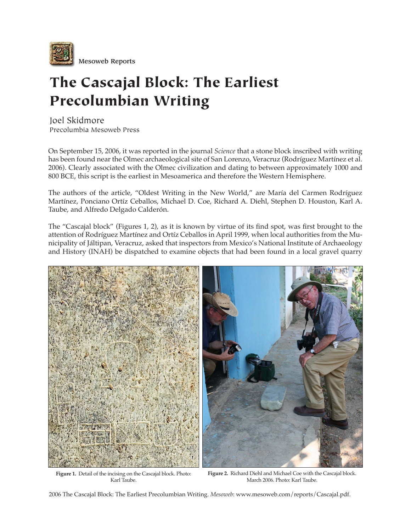

## The Cascajal Block: The Earliest Precolumbian Writing

Joel Skidmore Precolumbia Mesoweb Press

On September 15, 2006, it was reported in the journal *Science* that a stone block inscribed with writing has been found near the Olmec archaeological site of San Lorenzo, Veracruz (Rodríguez Martínez et al. 2006). Clearly associated with the Olmec civilization and dating to between approximately 1000 and 800 BCE, this script is the earliest in Mesoamerica and therefore the Western Hemisphere.

The authors of the article, "Oldest Writing in the New World," are María del Carmen Rodríguez Martínez, Ponciano Ortíz Ceballos, Michael D. Coe, Richard A. Diehl, Stephen D. Houston, Karl A. Taube, and Alfredo Delgado Calderón.

The "Cascajal block" (Figures 1, 2), as it is known by virtue of its find spot, was first brought to the attention of Rodríguez Martínez and Ortíz Ceballos in April 1999, when local authorities from the Municipality of Jáltipan, Veracruz, asked that inspectors from Mexico's National Institute of Archaeology and History (INAH) be dispatched to examine objects that had been found in a local gravel quarry



**Figure 1.** Detail of the incising on the Cascajal block. Photo: Karl Taube.

**Figure 2.** Richard Diehl and Michael Coe with the Cascajal block. March 2006. Photo: Karl Taube.

2006 The Cascajal Block: The Earliest Precolumbian Writing. *Mesoweb*: www.mesoweb.com/reports/Cascajal.pdf.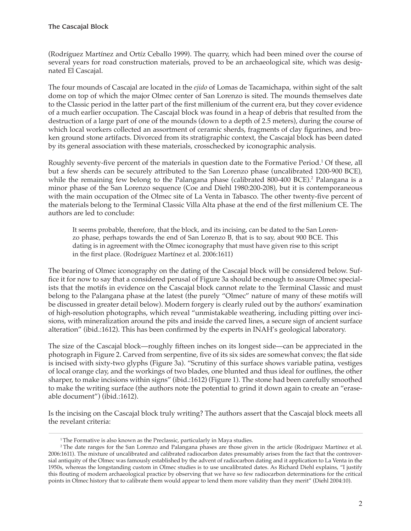(Rodríguez Martínez and Ortíz Ceballo 1999). The quarry, which had been mined over the course of several years for road construction materials, proved to be an archaeological site, which was designated El Cascajal.

The four mounds of Cascajal are located in the *ejido* of Lomas de Tacamichapa, within sight of the salt dome on top of which the major Olmec center of San Lorenzo is sited. The mounds themselves date to the Classic period in the latter part of the first millenium of the current era, but they cover evidence of a much earlier occupation. The Cascajal block was found in a heap of debris that resulted from the destruction of a large part of one of the mounds (down to a depth of 2.5 meters), during the course of which local workers collected an assortment of ceramic sherds, fragments of clay figurines, and broken ground stone artifacts. Divorced from its stratigraphic context, the Cascajal block has been dated by its general association with these materials, crosschecked by iconographic analysis.

Roughly seventy-five percent of the materials in question date to the Formative Period.<sup>1</sup> Of these, all but a few sherds can be securely attributed to the San Lorenzo phase (uncalibrated 1200-900 BCE), while the remaining few belong to the Palangana phase (calibrated 800-400 BCE).<sup>2</sup> Palangana is a minor phase of the San Lorenzo sequence (Coe and Diehl 1980:200-208), but it is contemporaneous with the main occupation of the Olmec site of La Venta in Tabasco. The other twenty-five percent of the materials belong to the Terminal Classic Villa Alta phase at the end of the first millenium CE. The authors are led to conclude:

It seems probable, therefore, that the block, and its incising, can be dated to the San Lorenzo phase, perhaps towards the end of San Lorenzo B, that is to say, about 900 BCE. This dating is in agreement with the Olmec iconography that must have given rise to this script in the first place. (Rodríguez Martínez et al. 2006:1611)

The bearing of Olmec iconography on the dating of the Cascajal block will be considered below. Suffice it for now to say that a considered perusal of Figure 3a should be enough to assure Olmec specialists that the motifs in evidence on the Cascajal block cannot relate to the Terminal Classic and must belong to the Palangana phase at the latest (the purely "Olmec" nature of many of these motifs will be discussed in greater detail below). Modern forgery is clearly ruled out by the authors' examination of high-resolution photographs, which reveal "unmistakable weathering, including pitting over incisions, with mineralization around the pits and inside the carved lines, a secure sign of ancient surface alteration" (ibid.:1612). This has been confirmed by the experts in INAH's geological laboratory.

The size of the Cascajal block—roughly fifteen inches on its longest side—can be appreciated in the photograph in Figure 2. Carved from serpentine, five of its six sides are somewhat convex; the flat side is incised with sixty-two glyphs (Figure 3a). "Scrutiny of this surface shows variable patina, vestiges of local orange clay, and the workings of two blades, one blunted and thus ideal for outlines, the other sharper, to make incisions within signs" (ibid.:1612) (Figure 1). The stone had been carefully smoothed to make the writing surface (the authors note the potential to grind it down again to create an "eraseable document") (ibid.:1612).

Is the incising on the Cascajal block truly writing? The authors assert that the Cascajal block meets all the revelant criteria:

<sup>&</sup>lt;sup>1</sup>The Formative is also known as the Preclassic, particularly in Maya studies.

<sup>2</sup> The date ranges for the San Lorenzo and Palangana phases are those given in the article (Rodríguez Martínez et al. 2006:1611). The mixture of uncalibrated and calibrated radiocarbon dates presumably arises from the fact that the controversial antiquity of the Olmec was famously established by the advent of radiocarbon dating and it application to La Venta in the 1950s, whereas the longstanding custom in Olmec studies is to use uncalibrated dates. As Richard Diehl explains, "I justify this flouting of modern archaeological practice by observing that we have so few radiocarbon determinations for the critical points in Olmec history that to calibrate them would appear to lend them more validity than they merit" (Diehl 2004:10).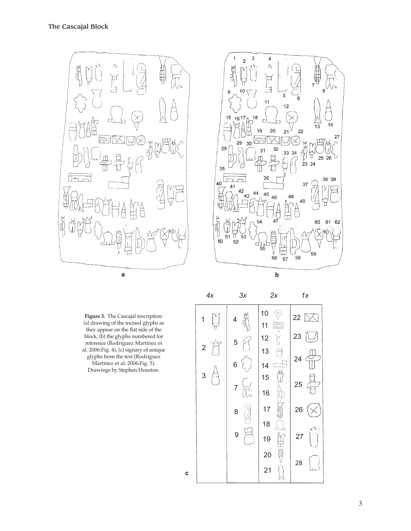

**Figure 3.** The Cascajal inscription: (a) drawing of the incised glyphs as they appear on the flat side of the block, (b) the glyphs numbered for reference (Rodríguez Martínez et al. 2006:Fig. 4), (c) signary of unique glyphs from the text (Rodríguez Martínez et al. 2006:Fig. 5). Drawings by Stephen Houston.

 *4x 3x 2x 1x* 10  $\heartsuit$ 22  $\mathbb{X}$ 1 4  $\bigtriangledown$ 11  $\overline{aa}$ 23 E 12 5 2  $\bigoplus$ 13 24  $\Box$ 14 6  $\sqrt{ }$  $\tilde{C}$ 3 15 25  $\beta$ 7  $\overline{\lambda_{\mathcal{N}}}$ 16 EE  $\begin{picture}(20,5) \put(0,0) {\line(1,0){15}} \put(15,0) {\line(1,0){15}} \put(15,0) {\line(1,0){15}} \put(15,0) {\line(1,0){15}} \put(15,0) {\line(1,0){15}} \put(15,0) {\line(1,0){15}} \put(15,0) {\line(1,0){15}} \put(15,0) {\line(1,0){15}} \put(15,0) {\line(1,0){15}} \put(15,0) {\line(1,0){15}} \put(15,0) {\line(1,0){15}} \put(15,0) {\line(1,$ 17 26  $\times$ 8 18  $\overline{\Box}$  9 Ì 27 19 \$ 20 28 21 Ш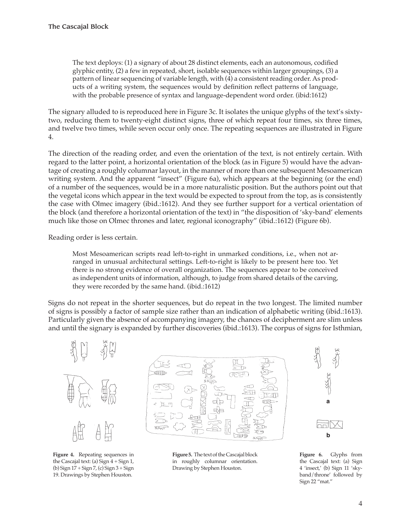The text deploys: (1) a signary of about 28 distinct elements, each an autonomous, codified glyphic entity, (2) a few in repeated, short, isolable sequences within larger groupings, (3) a pattern of linear sequencing of variable length, with (4) a consistent reading order. As products of a writing system, the sequences would by definition reflect patterns of language, with the probable presence of syntax and language-dependent word order. (ibid:1612)

The signary alluded to is reproduced here in Figure 3c. It isolates the unique glyphs of the text's sixtytwo, reducing them to twenty-eight distinct signs, three of which repeat four times, six three times, and twelve two times, while seven occur only once. The repeating sequences are illustrated in Figure 4.

The direction of the reading order, and even the orientation of the text, is not entirely certain. With regard to the latter point, a horizontal orientation of the block (as in Figure 5) would have the advantage of creating a roughly columnar layout, in the manner of more than one subsequent Mesoamerican writing system. And the apparent "insect" (Figure 6a), which appears at the beginning (or the end) of a number of the sequences, would be in a more naturalistic position. But the authors point out that the vegetal icons which appear in the text would be expected to sprout from the top, as is consistently the case with Olmec imagery (ibid.:1612). And they see further support for a vertical orientation of the block (and therefore a horizontal orientation of the text) in "the disposition of 'sky-band' elements much like those on Olmec thrones and later, regional iconography" (ibid.:1612) (Figure 6b).

Reading order is less certain.

Most Mesoamerican scripts read left-to-right in unmarked conditions, i.e., when not arranged in unusual architectural settings. Left-to-right is likely to be present here too. Yet there is no strong evidence of overall organization. The sequences appear to be conceived as independent units of information, although, to judge from shared details of the carving, they were recorded by the same hand. (ibid.:1612)

Signs do not repeat in the shorter sequences, but do repeat in the two longest. The limited number of signs is possibly a factor of sample size rather than an indication of alphabetic writing (ibid.:1613). Particularly given the absence of accompanying imagery, the chances of decipherment are slim unless and until the signary is expanded by further discoveries (ibid.:1613). The corpus of signs for Isthmian,



**Figure 4.** Repeating sequences in the Cascajal text: (a) Sign 4 + Sign 1, (b) Sign 17 + Sign 7, (c) Sign 3 + Sign 19. Drawings by Stephen Houston.



**Figure 5.** The text of the Cascajal block in roughly columnar orientation. Drawing by Stephen Houston.



**Figure 6.** Glyphs from the Cascajal text: (a) Sign 4 'insect,' (b) Sign 11 'skyband/throne' followed by Sign 22 "mat."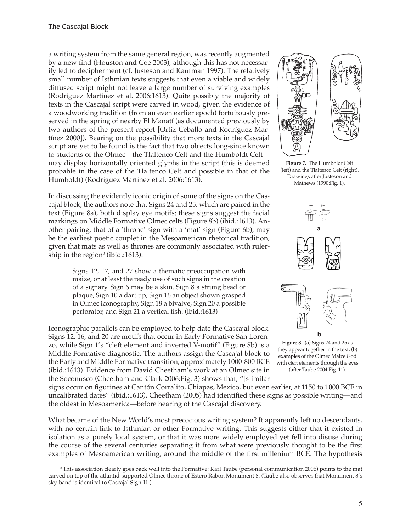a writing system from the same general region, was recently augmented by a new find (Houston and Coe 2003), although this has not necessarily led to decipherment (cf. Justeson and Kaufman 1997). The relatively small number of Isthmian texts suggests that even a viable and widely diffused script might not leave a large number of surviving examples (Rodríguez Martínez et al. 2006:1613). Quite possibly the majority of texts in the Cascajal script were carved in wood, given the evidence of a woodworking tradition (from an even earlier epoch) fortuitously preserved in the spring of nearby El Manatí (as documented previously by two authors of the present report [Ortíz Ceballo and Rodríguez Martínez 2000]). Bearing on the possibility that more texts in the Cascajal script are yet to be found is the fact that two objects long-since known to students of the Olmec—the Tlaltenco Celt and the Humboldt Celt may display horizontally oriented glyphs in the script (this is deemed probable in the case of the Tlaltenco Celt and possible in that of the Humboldt) (Rodríguez Martínez et al. 2006:1613).

In discussing the evidently iconic origin of some of the signs on the Cascajal block, the authors note that Signs 24 and 25, which are paired in the text (Figure 8a), both display eye motifs; these signs suggest the facial markings on Middle Formative Olmec celts (Figure 8b) (ibid.:1613). Another pairing, that of a 'throne' sign with a 'mat' sign (Figure 6b), may be the earliest poetic couplet in the Mesoamerican rhetorical tradition, given that mats as well as thrones are commonly associated with rulership in the region $^3$  (ibid.:1613).

> Signs 12, 17, and 27 show a thematic preoccupation with maize, or at least the ready use of such signs in the creation of a signary. Sign 6 may be a skin, Sign 8 a strung bead or plaque, Sign 10 a dart tip, Sign 16 an object shown grasped in Olmec iconography, Sign 18 a bivalve, Sign 20 a possible perforator, and Sign 21 a vertical fish. (ibid.:1613)

Iconographic parallels can be employed to help date the Cascajal block. Signs 12, 16, and 20 are motifs that occur in Early Formative San Lorenzo, while Sign 1's "cleft element and inverted V-motif" (Figure 8b) is a Middle Formative diagnostic. The authors assign the Cascajal block to the Early and Middle Formative transition, approximately 1000-800 BCE (ibid.:1613). Evidence from David Cheetham's work at an Olmec site in the Soconusco (Cheetham and Clark 2006:Fig. 3) shows that, "[s]imilar



**Figure 7.** The Humboldt Celt (left) and the Tlaltenco Celt (right). Drawings after Justeson and Mathews (1990:Fig. 1).



**Figure 8.** (a) Signs 24 and 25 as they appear together in the text, (b) examples of the Olmec Maize God with cleft elements through the eyes (after Taube 2004:Fig. 11).

signs occur on figurines at Cantón Corralito, Chiapas, Mexico, but even earlier, at 1150 to 1000 BCE in uncalibrated dates" (ibid.:1613). Cheetham (2005) had identified these signs as possible writing—and the oldest in Mesoamerica—before hearing of the Cascajal discovery.

What became of the New World's most precocious writing system? It apparently left no descendants, with no certain link to Isthmian or other Formative writing. This suggests either that it existed in isolation as a purely local system, or that it was more widely employed yet fell into disuse during the course of the several centuries separating it from what were previously thought to be the first examples of Mesoamerican writing, around the middle of the first millenium BCE. The hypothesis

<sup>3</sup>This association clearly goes back well into the Formative: Karl Taube (personal communication 2006) points to the mat carved on top of the atlantid-supported Olmec throne of Estero Rabon Monument 8. (Taube also observes that Monument 8's sky-band is identical to Cascajal Sign 11.)